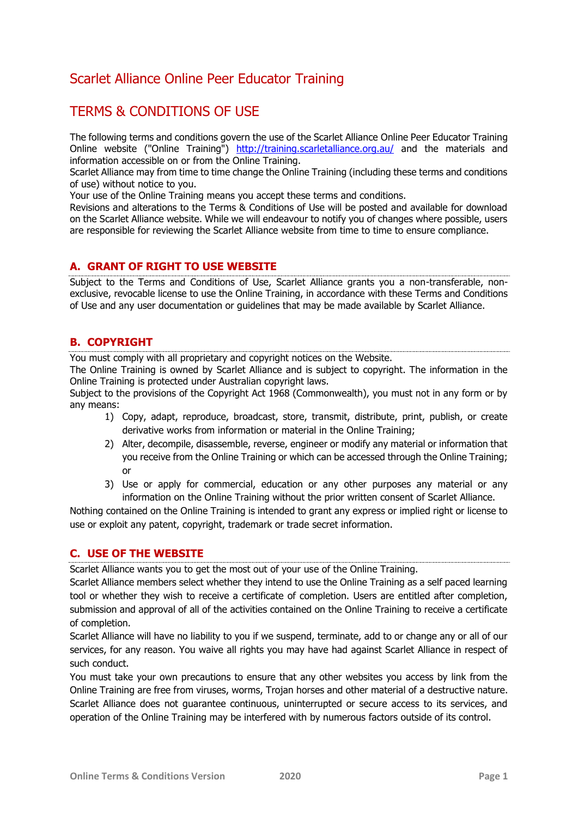# Scarlet Alliance Online Peer Educator Training

# TERMS & CONDITIONS OF USE

The following terms and conditions govern the use of the Scarlet Alliance Online Peer Educator Training Online website ("Online Training") <http://training.scarletalliance.org.au/> and the materials and information accessible on or from the Online Training.

Scarlet Alliance may from time to time change the Online Training (including these terms and conditions of use) without notice to you.

Your use of the Online Training means you accept these terms and conditions.

Revisions and alterations to the Terms & Conditions of Use will be posted and available for download on the Scarlet Alliance website. While we will endeavour to notify you of changes where possible, users are responsible for reviewing the Scarlet Alliance website from time to time to ensure compliance.

### **A. GRANT OF RIGHT TO USE WEBSITE**

Subject to the Terms and Conditions of Use, Scarlet Alliance grants you a non-transferable, nonexclusive, revocable license to use the Online Training, in accordance with these Terms and Conditions of Use and any user documentation or guidelines that may be made available by Scarlet Alliance.

# **B. COPYRIGHT**

You must comply with all proprietary and copyright notices on the Website.

The Online Training is owned by Scarlet Alliance and is subject to copyright. The information in the Online Training is protected under Australian copyright laws.

Subject to the provisions of the Copyright Act 1968 (Commonwealth), you must not in any form or by any means:

- 1) Copy, adapt, reproduce, broadcast, store, transmit, distribute, print, publish, or create derivative works from information or material in the Online Training;
- 2) Alter, decompile, disassemble, reverse, engineer or modify any material or information that you receive from the Online Training or which can be accessed through the Online Training; or
- 3) Use or apply for commercial, education or any other purposes any material or any information on the Online Training without the prior written consent of Scarlet Alliance.

Nothing contained on the Online Training is intended to grant any express or implied right or license to use or exploit any patent, copyright, trademark or trade secret information.

## **C. USE OF THE WEBSITE**

Scarlet Alliance wants you to get the most out of your use of the Online Training.

Scarlet Alliance members select whether they intend to use the Online Training as a self paced learning tool or whether they wish to receive a certificate of completion. Users are entitled after completion, submission and approval of all of the activities contained on the Online Training to receive a certificate of completion.

Scarlet Alliance will have no liability to you if we suspend, terminate, add to or change any or all of our services, for any reason. You waive all rights you may have had against Scarlet Alliance in respect of such conduct.

You must take your own precautions to ensure that any other websites you access by link from the Online Training are free from viruses, worms, Trojan horses and other material of a destructive nature. Scarlet Alliance does not guarantee continuous, uninterrupted or secure access to its services, and operation of the Online Training may be interfered with by numerous factors outside of its control.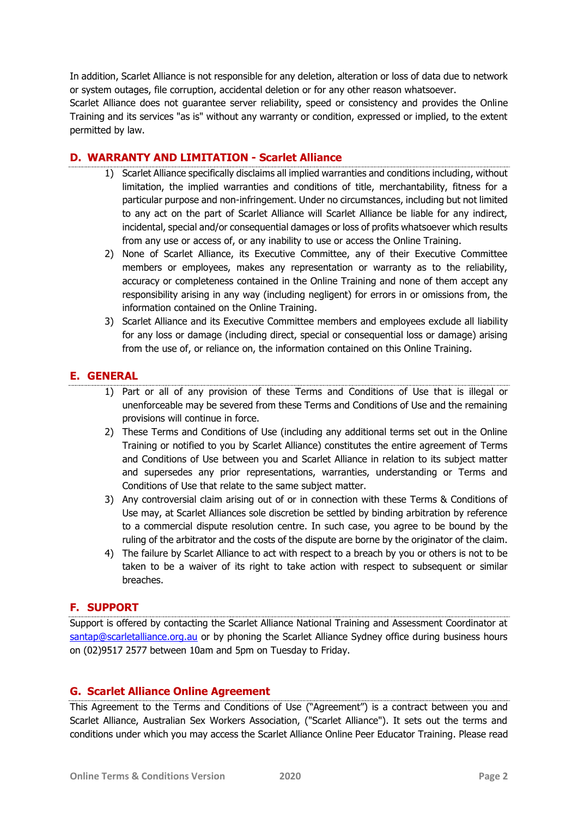In addition, Scarlet Alliance is not responsible for any deletion, alteration or loss of data due to network or system outages, file corruption, accidental deletion or for any other reason whatsoever.

Scarlet Alliance does not guarantee server reliability, speed or consistency and provides the Online Training and its services "as is" without any warranty or condition, expressed or implied, to the extent permitted by law.

### **D. WARRANTY AND LIMITATION - Scarlet Alliance**

- 1) Scarlet Alliance specifically disclaims all implied warranties and conditions including, without limitation, the implied warranties and conditions of title, merchantability, fitness for a particular purpose and non-infringement. Under no circumstances, including but not limited to any act on the part of Scarlet Alliance will Scarlet Alliance be liable for any indirect, incidental, special and/or consequential damages or loss of profits whatsoever which results from any use or access of, or any inability to use or access the Online Training.
- 2) None of Scarlet Alliance, its Executive Committee, any of their Executive Committee members or employees, makes any representation or warranty as to the reliability, accuracy or completeness contained in the Online Training and none of them accept any responsibility arising in any way (including negligent) for errors in or omissions from, the information contained on the Online Training.
- 3) Scarlet Alliance and its Executive Committee members and employees exclude all liability for any loss or damage (including direct, special or consequential loss or damage) arising from the use of, or reliance on, the information contained on this Online Training.

## **E. GENERAL**

- 1) Part or all of any provision of these Terms and Conditions of Use that is illegal or unenforceable may be severed from these Terms and Conditions of Use and the remaining provisions will continue in force.
- 2) These Terms and Conditions of Use (including any additional terms set out in the Online Training or notified to you by Scarlet Alliance) constitutes the entire agreement of Terms and Conditions of Use between you and Scarlet Alliance in relation to its subject matter and supersedes any prior representations, warranties, understanding or Terms and Conditions of Use that relate to the same subject matter.
- 3) Any controversial claim arising out of or in connection with these Terms & Conditions of Use may, at Scarlet Alliances sole discretion be settled by binding arbitration by reference to a commercial dispute resolution centre. In such case, you agree to be bound by the ruling of the arbitrator and the costs of the dispute are borne by the originator of the claim.
- 4) The failure by Scarlet Alliance to act with respect to a breach by you or others is not to be taken to be a waiver of its right to take action with respect to subsequent or similar breaches.

## **F. SUPPORT**

Support is offered by contacting the Scarlet Alliance National Training and Assessment Coordinator at [santap@scarletalliance.org.au](mailto:santap@scarletalliance.org.au) or by phoning the Scarlet Alliance Sydney office during business hours on (02)9517 2577 between 10am and 5pm on Tuesday to Friday.

## **G. Scarlet Alliance Online Agreement**

This Agreement to the Terms and Conditions of Use ("Agreement") is a contract between you and Scarlet Alliance, Australian Sex Workers Association, ("Scarlet Alliance"). It sets out the terms and conditions under which you may access the Scarlet Alliance Online Peer Educator Training. Please read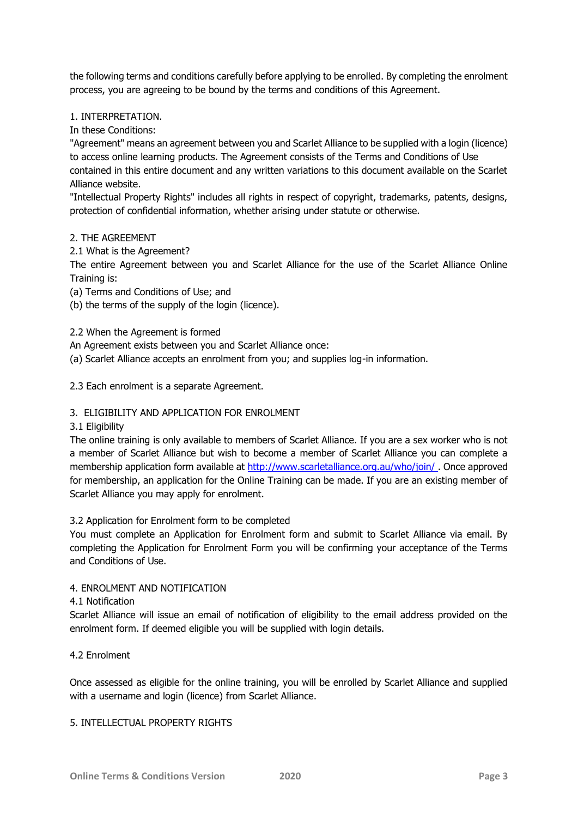the following terms and conditions carefully before applying to be enrolled. By completing the enrolment process, you are agreeing to be bound by the terms and conditions of this Agreement.

#### 1. INTERPRETATION.

In these Conditions:

"Agreement" means an agreement between you and Scarlet Alliance to be supplied with a login (licence) to access online learning products. The Agreement consists of the Terms and Conditions of Use contained in this entire document and any written variations to this document available on the Scarlet Alliance website.

"Intellectual Property Rights" includes all rights in respect of copyright, trademarks, patents, designs, protection of confidential information, whether arising under statute or otherwise.

#### 2. THE AGREEMENT

2.1 What is the Agreement?

The entire Agreement between you and Scarlet Alliance for the use of the Scarlet Alliance Online Training is:

(a) Terms and Conditions of Use; and

- (b) the terms of the supply of the login (licence).
- 2.2 When the Agreement is formed
- An Agreement exists between you and Scarlet Alliance once:
- (a) Scarlet Alliance accepts an enrolment from you; and supplies log-in information.
- 2.3 Each enrolment is a separate Agreement.

#### 3. ELIGIBILITY AND APPLICATION FOR ENROLMENT

#### 3.1 Eligibility

The online training is only available to members of Scarlet Alliance. If you are a sex worker who is not a member of Scarlet Alliance but wish to become a member of Scarlet Alliance you can complete a membership application form available at <http://www.scarletalliance.org.au/who/join/> . Once approved for membership, an application for the Online Training can be made. If you are an existing member of Scarlet Alliance you may apply for enrolment.

#### 3.2 Application for Enrolment form to be completed

You must complete an Application for Enrolment form and submit to Scarlet Alliance via email. By completing the Application for Enrolment Form you will be confirming your acceptance of the Terms and Conditions of Use.

#### 4. ENROLMENT AND NOTIFICATION

#### 4.1 Notification

Scarlet Alliance will issue an email of notification of eligibility to the email address provided on the enrolment form. If deemed eligible you will be supplied with login details.

4.2 Enrolment

Once assessed as eligible for the online training, you will be enrolled by Scarlet Alliance and supplied with a username and login (licence) from Scarlet Alliance.

#### 5. INTELLECTUAL PROPERTY RIGHTS